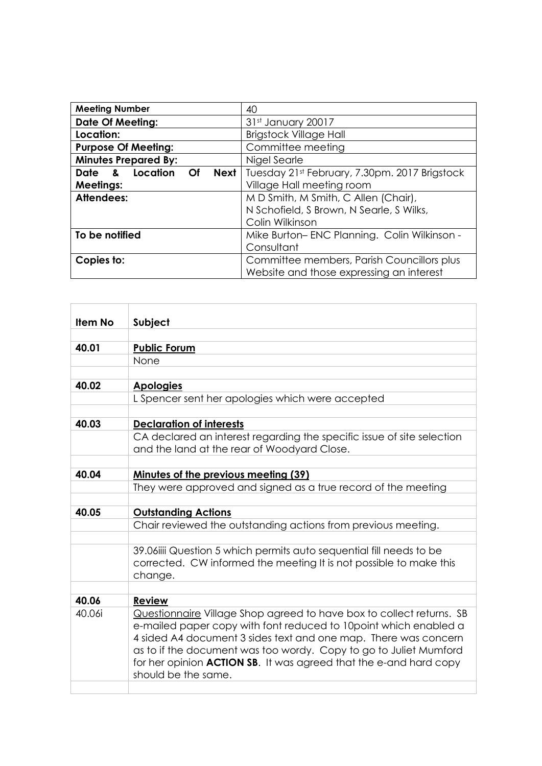| <b>Meeting Number</b>                | 40                                            |
|--------------------------------------|-----------------------------------------------|
| <b>Date Of Meeting:</b>              | 31st January 20017                            |
| Location:                            | <b>Brigstock Village Hall</b>                 |
| <b>Purpose Of Meeting:</b>           | Committee meeting                             |
| <b>Minutes Prepared By:</b>          | Nigel Searle                                  |
| Date & Location<br><b>Next</b><br>⊝f | Tuesday 21st February, 7.30pm. 2017 Brigstock |
| <b>Meetings:</b>                     | Village Hall meeting room                     |
| Attendees:                           | M D Smith, M Smith, C Allen (Chair),          |
|                                      | N Schofield, S Brown, N Searle, S Wilks,      |
|                                      | Colin Wilkinson                               |
| To be notified                       | Mike Burton-ENC Planning. Colin Wilkinson -   |
|                                      | Consultant                                    |
| Copies to:                           | Committee members, Parish Councillors plus    |
|                                      | Website and those expressing an interest      |

| <b>Item No</b> | Subject                                                                                                                                                                                                                                                                                                                                                                             |
|----------------|-------------------------------------------------------------------------------------------------------------------------------------------------------------------------------------------------------------------------------------------------------------------------------------------------------------------------------------------------------------------------------------|
|                |                                                                                                                                                                                                                                                                                                                                                                                     |
| 40.01          | <b>Public Forum</b>                                                                                                                                                                                                                                                                                                                                                                 |
|                | None                                                                                                                                                                                                                                                                                                                                                                                |
|                |                                                                                                                                                                                                                                                                                                                                                                                     |
| 40.02          | <b>Apologies</b>                                                                                                                                                                                                                                                                                                                                                                    |
|                | L Spencer sent her apologies which were accepted                                                                                                                                                                                                                                                                                                                                    |
|                |                                                                                                                                                                                                                                                                                                                                                                                     |
| 40.03          | <b>Declaration of interests</b>                                                                                                                                                                                                                                                                                                                                                     |
|                | CA declared an interest regarding the specific issue of site selection<br>and the land at the rear of Woodyard Close.                                                                                                                                                                                                                                                               |
|                |                                                                                                                                                                                                                                                                                                                                                                                     |
| 40.04          | <b>Minutes of the previous meeting (39)</b>                                                                                                                                                                                                                                                                                                                                         |
|                | They were approved and signed as a true record of the meeting                                                                                                                                                                                                                                                                                                                       |
|                |                                                                                                                                                                                                                                                                                                                                                                                     |
| 40.05          | <b>Outstanding Actions</b>                                                                                                                                                                                                                                                                                                                                                          |
|                | Chair reviewed the outstanding actions from previous meeting.                                                                                                                                                                                                                                                                                                                       |
|                |                                                                                                                                                                                                                                                                                                                                                                                     |
|                | 39.06iiii Question 5 which permits auto sequential fill needs to be<br>corrected. CW informed the meeting It is not possible to make this<br>change.                                                                                                                                                                                                                                |
|                |                                                                                                                                                                                                                                                                                                                                                                                     |
| 40.06          | <b>Review</b>                                                                                                                                                                                                                                                                                                                                                                       |
| 40.06i         | Questionnaire Village Shop agreed to have box to collect returns. SB<br>e-mailed paper copy with font reduced to 10point which enabled a<br>4 sided A4 document 3 sides text and one map. There was concern<br>as to if the document was too wordy. Copy to go to Juliet Mumford<br>for her opinion <b>ACTION SB.</b> It was agreed that the e-and hard copy<br>should be the same. |
|                |                                                                                                                                                                                                                                                                                                                                                                                     |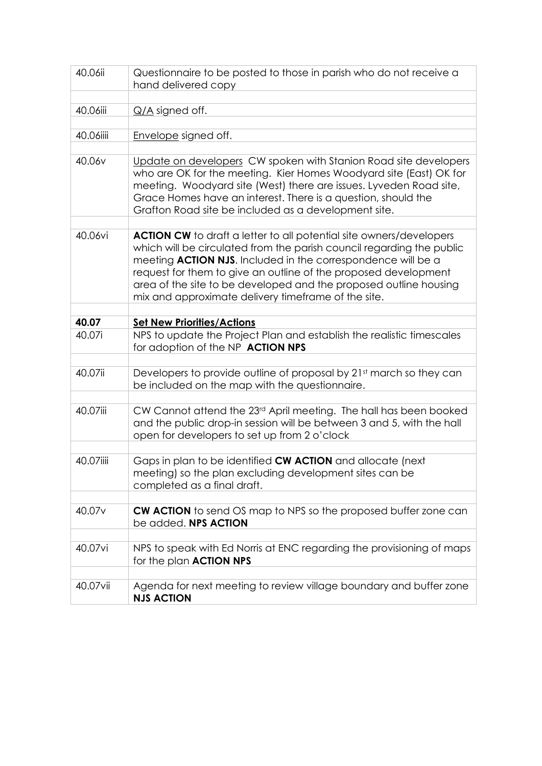| 40.06ii            | Questionnaire to be posted to those in parish who do not receive a<br>hand delivered copy                                                                                                                                                                                                                                                                                                                                  |
|--------------------|----------------------------------------------------------------------------------------------------------------------------------------------------------------------------------------------------------------------------------------------------------------------------------------------------------------------------------------------------------------------------------------------------------------------------|
|                    |                                                                                                                                                                                                                                                                                                                                                                                                                            |
| 40.06iii           | $Q/A$ signed off.                                                                                                                                                                                                                                                                                                                                                                                                          |
|                    |                                                                                                                                                                                                                                                                                                                                                                                                                            |
| 40.06iiii          | Envelope signed off.                                                                                                                                                                                                                                                                                                                                                                                                       |
|                    |                                                                                                                                                                                                                                                                                                                                                                                                                            |
| 40.06v             | Update on developers CW spoken with Stanion Road site developers<br>who are OK for the meeting. Kier Homes Woodyard site (East) OK for<br>meeting. Woodyard site (West) there are issues. Lyveden Road site,<br>Grace Homes have an interest. There is a question, should the<br>Grafton Road site be included as a development site.                                                                                      |
|                    |                                                                                                                                                                                                                                                                                                                                                                                                                            |
| 40.06vi            | <b>ACTION CW</b> to draft a letter to all potential site owners/developers<br>which will be circulated from the parish council regarding the public<br>meeting <b>ACTION NJS</b> . Included in the correspondence will be a<br>request for them to give an outline of the proposed development<br>area of the site to be developed and the proposed outline housing<br>mix and approximate delivery timeframe of the site. |
|                    |                                                                                                                                                                                                                                                                                                                                                                                                                            |
| 40.07              | <b>Set New Priorities/Actions</b>                                                                                                                                                                                                                                                                                                                                                                                          |
| 40.07i             | NPS to update the Project Plan and establish the realistic timescales<br>for adoption of the NP ACTION NPS                                                                                                                                                                                                                                                                                                                 |
|                    |                                                                                                                                                                                                                                                                                                                                                                                                                            |
| 40.07ii            | Developers to provide outline of proposal by 21 <sup>st</sup> march so they can<br>be included on the map with the questionnaire.                                                                                                                                                                                                                                                                                          |
|                    |                                                                                                                                                                                                                                                                                                                                                                                                                            |
| 40.07iii           | CW Cannot attend the 23rd April meeting. The hall has been booked<br>and the public drop-in session will be between 3 and 5, with the hall<br>open for developers to set up from 2 o'clock                                                                                                                                                                                                                                 |
|                    |                                                                                                                                                                                                                                                                                                                                                                                                                            |
| 40.07iiii          | Gaps in plan to be identified CW ACTION and allocate (next<br>meeting) so the plan excluding development sites can be<br>completed as a final draft.                                                                                                                                                                                                                                                                       |
|                    |                                                                                                                                                                                                                                                                                                                                                                                                                            |
| 40.07 <sub>v</sub> | <b>CW ACTION</b> to send OS map to NPS so the proposed buffer zone can<br>be added. NPS ACTION                                                                                                                                                                                                                                                                                                                             |
|                    |                                                                                                                                                                                                                                                                                                                                                                                                                            |
|                    |                                                                                                                                                                                                                                                                                                                                                                                                                            |
| 40.07vi            | NPS to speak with Ed Norris at ENC regarding the provisioning of maps<br>for the plan <b>ACTION NPS</b>                                                                                                                                                                                                                                                                                                                    |
|                    |                                                                                                                                                                                                                                                                                                                                                                                                                            |